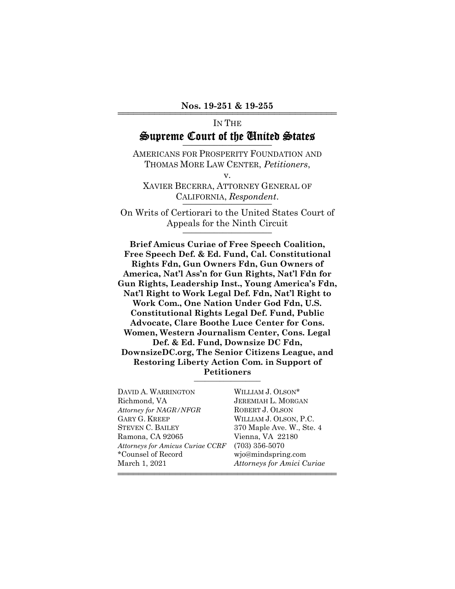# IN THE Supreme Court of the United States

AMERICANS FOR PROSPERITY FOUNDATION AND THOMAS MORE LAW CENTER, *Petitioners*,

v.

XAVIER BECERRA, ATTORNEY GENERAL OF CALIFORNIA, *Respondent*.

On Writs of Certiorari to the United States Court of Appeals for the Ninth Circuit \_\_\_\_\_\_\_\_\_\_\_\_\_\_\_\_\_\_\_\_

**Brief Amicus Curiae of Free Speech Coalition, Free Speech Def. & Ed. Fund, Cal. Constitutional Rights Fdn, Gun Owners Fdn, Gun Owners of America, Nat'l Ass'n for Gun Rights, Nat'l Fdn for Gun Rights, Leadership Inst., Young America's Fdn, Nat'l Right to Work Legal Def. Fdn, Nat'l Right to Work Com., One Nation Under God Fdn, U.S. Constitutional Rights Legal Def. Fund, Public Advocate, Clare Boothe Luce Center for Cons. Women, Western Journalism Center, Cons. Legal Def. & Ed. Fund, Downsize DC Fdn, DownsizeDC.org, The Senior Citizens League, and Restoring Liberty Action Com. in Support of Petitioners** \_\_\_\_\_\_\_\_\_\_\_\_\_\_\_\_\_\_

444444444444444444444444444444444444444444

DAVID A. WARRINGTON WILLIAM J. OLSON\* Richmond, VA JEREMIAH L. MORGAN *Attorney for NAGR/NFGR* ROBERT J. OLSON GARY G. KREEP WILLIAM J. OLSON, P.C. STEVEN C. BAILEY 370 Maple Ave. W., Ste. 4 Ramona, CA 92065 Vienna, VA 22180 *Attorneys for Amicus Curiae CCRF* (703) 356-5070 \*Counsel of Record wjo@mindspring.com March 1, 2021 *Attorneys for Amici Curiae*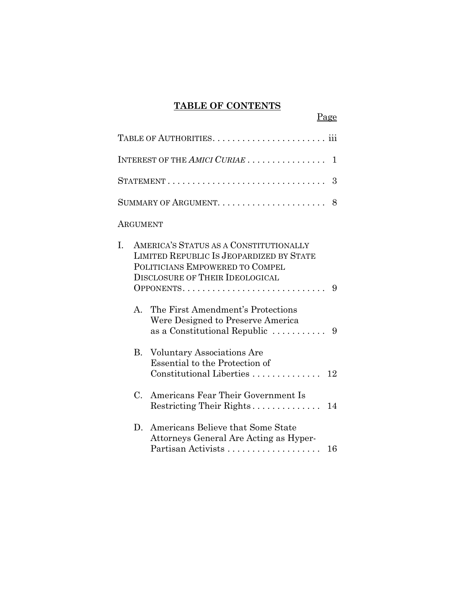# **TABLE OF CONTENTS**

Page

|                 | INTEREST OF THE AMICI CURIAE<br>1                                                                                                                                                 |
|-----------------|-----------------------------------------------------------------------------------------------------------------------------------------------------------------------------------|
|                 | STATEMENT<br>3                                                                                                                                                                    |
|                 | 8                                                                                                                                                                                 |
| <b>ARGUMENT</b> |                                                                                                                                                                                   |
| I.              | AMERICA'S STATUS AS A CONSTITUTIONALLY<br>LIMITED REPUBLIC IS JEOPARDIZED BY STATE<br>POLITICIANS EMPOWERED TO COMPEL<br><b>DISCLOSURE OF THEIR IDEOLOGICAL</b><br>OPPONENTS<br>9 |
| A.              | The First Amendment's Protections<br>Were Designed to Preserve America<br>as a Constitutional Republic $\ldots \ldots \ldots$ 9                                                   |
|                 | <b>B.</b> Voluntary Associations Are<br>Essential to the Protection of<br>Constitutional Liberties<br>12                                                                          |
| $C_{\cdot}$     | Americans Fear Their Government Is                                                                                                                                                |
| D.              | Americans Believe that Some State<br>Attorneys General Are Acting as Hyper-<br>Partisan Activists<br>16                                                                           |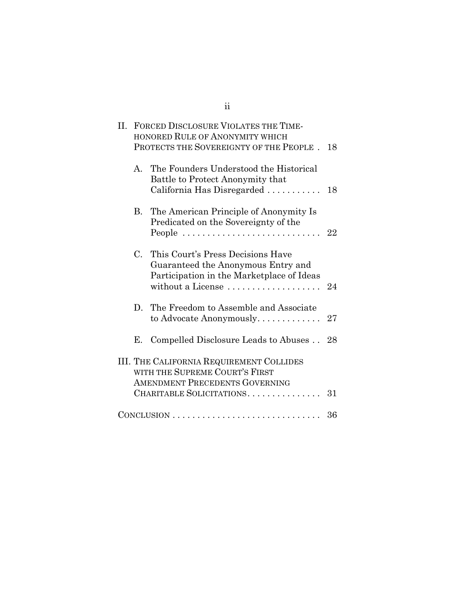| II. | FORCED DISCLOSURE VIOLATES THE TIME-<br>HONORED RULE OF ANONYMITY WHICH<br>PROTECTS THE SOVEREIGNTY OF THE PEOPLE.                                            |                                                                                                                                                         |    |
|-----|---------------------------------------------------------------------------------------------------------------------------------------------------------------|---------------------------------------------------------------------------------------------------------------------------------------------------------|----|
|     | A.                                                                                                                                                            | The Founders Understood the Historical<br>Battle to Protect Anonymity that<br>California Has Disregarded                                                | 18 |
|     | B.                                                                                                                                                            | The American Principle of Anonymity Is<br>Predicated on the Sovereignty of the<br>People $\dots\dots\dots\dots\dots\dots\dots\dots\dots\dots\dots\dots$ | 22 |
|     | $C_{\cdot}$                                                                                                                                                   | This Court's Press Decisions Have<br>Guaranteed the Anonymous Entry and<br>Participation in the Marketplace of Ideas<br>without a License               | 24 |
|     | D.                                                                                                                                                            | The Freedom to Assemble and Associate<br>to Advocate Anonymously                                                                                        | 27 |
|     | Е.                                                                                                                                                            | Compelled Disclosure Leads to Abuses                                                                                                                    | 28 |
|     | <b>III. THE CALIFORNIA REQUIREMENT COLLIDES</b><br>WITH THE SUPREME COURT'S FIRST<br><b>AMENDMENT PRECEDENTS GOVERNING</b><br>CHARITABLE SOLICITATIONS.<br>31 |                                                                                                                                                         |    |
|     |                                                                                                                                                               |                                                                                                                                                         | 36 |

ii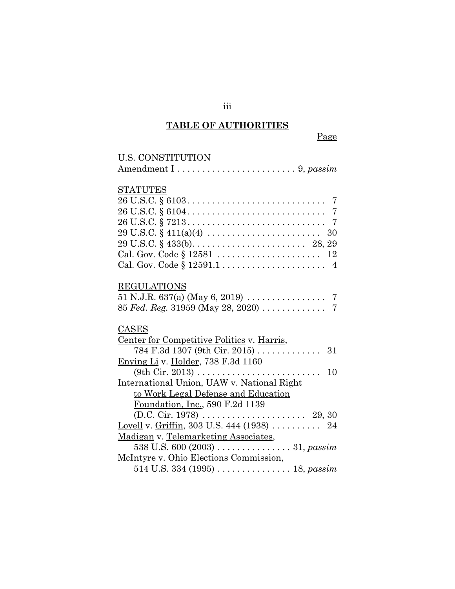# **TABLE OF AUTHORITIES**

| <u>U.S. CONSTITUTION</u>                                                                   |
|--------------------------------------------------------------------------------------------|
|                                                                                            |
|                                                                                            |
| <b>STATUTES</b>                                                                            |
|                                                                                            |
|                                                                                            |
|                                                                                            |
| $29 \text{ U.S.C.} \S 411(a)(4) \ldots \ldots \ldots \ldots \ldots \ldots \ldots \quad 30$ |
|                                                                                            |
|                                                                                            |
|                                                                                            |
|                                                                                            |
| <b>REGULATIONS</b>                                                                         |
|                                                                                            |
|                                                                                            |
|                                                                                            |
| CASES                                                                                      |
| Center for Competitive Politics v. Harris,                                                 |
| $784 \text{ F}.3d \text{ 1307 (9th Cir. 2015) } \ldots \ldots \ldots \ldots$<br>- 31       |
| Enying Li v. Holder, 738 F.3d 1160                                                         |
| 10                                                                                         |
| International Union, UAW v. National Right                                                 |
| to Work Legal Defense and Education                                                        |
| Foundation, Inc., 590 F.2d 1139                                                            |
|                                                                                            |
| Lovell v. Griffin, 303 U.S. 444 (1938)  24                                                 |
| Madigan v. Telemarketing Associates,                                                       |
| 538 U.S. 600 (2003) $\ldots \ldots \ldots \ldots \ldots 31$ , passim                       |
| McIntyre v. Ohio Elections Commission,                                                     |
| 514 U.S. 334 (1995) $\dots \dots \dots \dots \dots 18$ , passim                            |

iii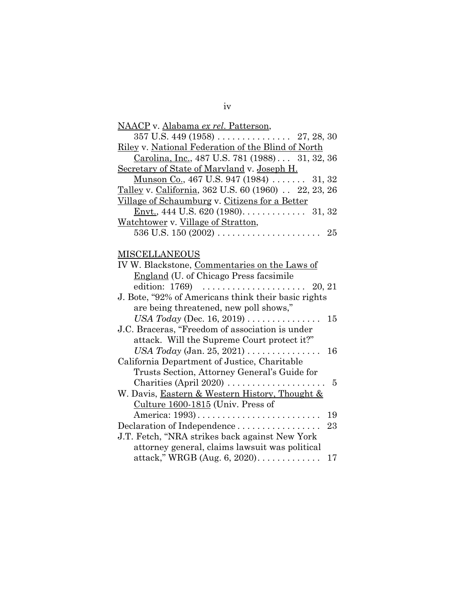| <u>NAACP</u> v. <u>Alabama ex rel. Patterson</u> ,         |
|------------------------------------------------------------|
|                                                            |
| Riley v. National Federation of the Blind of North         |
| Carolina, Inc., 487 U.S. 781 (1988) 31, 32, 36             |
| Secretary of State of Maryland v. Joseph H.                |
| Munson Co., 467 U.S. 947 (1984)  31, 32                    |
| Talley v. California, 362 U.S. 60 (1960) 22, 23, 26        |
| Village of Schaumburg v. Citizens for a Better             |
| <u>Envt.</u> , 444 U.S. 620 (1980). 31, 32                 |
| <u>Watchtower</u> v. Village of Stratton,                  |
|                                                            |
|                                                            |
| <b>MISCELLANEOUS</b>                                       |
| IV W. Blackstone, Commentaries on the Laws of              |
| England (U. of Chicago Press facsimile                     |
| edition: 1769)<br>20, 21                                   |
| J. Bote, "92% of Americans think their basic rights        |
| are being threatened, new poll shows,"                     |
| USA Today (Dec. 16, 2019) $\dots \dots \dots \dots$<br>15  |
| J.C. Braceras, "Freedom of association is under            |
| attack. Will the Supreme Court protect it?"                |
| USA Today (Jan. 25, 2021) $\dots \dots \dots \dots$<br>16  |
| California Department of Justice, Charitable               |
| Trusts Section, Attorney General's Guide for               |
| Charities (April 2020) $\ldots$<br>$\overline{5}$          |
| W. Davis, <b>Eastern &amp; Western History</b> , Thought & |
| Culture $1600-1815$ (Univ. Press of                        |
| 19<br>America: 1993)                                       |
| Declaration of Independence<br>23                          |
| J.T. Fetch, "NRA strikes back against New York             |
| attorney general, claims lawsuit was political             |
| attack," WRGB (Aug. $6, 2020$ )<br>17                      |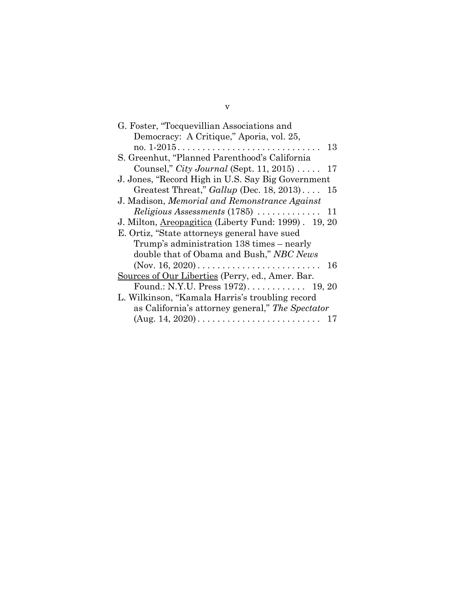| G. Foster, "Tocquevillian Associations and                         |  |  |  |  |
|--------------------------------------------------------------------|--|--|--|--|
| Democracy: A Critique," Aporia, vol. 25,                           |  |  |  |  |
| 13                                                                 |  |  |  |  |
| S. Greenhut, "Planned Parenthood's California                      |  |  |  |  |
| Counsel," <i>City Journal</i> (Sept. 11, 2015) $\ldots$<br>17      |  |  |  |  |
| J. Jones, "Record High in U.S. Say Big Government                  |  |  |  |  |
| Greatest Threat," $Gallup$ (Dec. 18, 2013)<br>15                   |  |  |  |  |
| J. Madison, Memorial and Remonstrance Against                      |  |  |  |  |
| $Religious Assessments (1785) \ldots \ldots \ldots$<br>11          |  |  |  |  |
| J. Milton, Areopagitica (Liberty Fund: 1999). 19, 20               |  |  |  |  |
| E. Ortiz, "State attorneys general have sued                       |  |  |  |  |
| Trump's administration 138 times – nearly                          |  |  |  |  |
| double that of Obama and Bush," NBC News                           |  |  |  |  |
| 16                                                                 |  |  |  |  |
| Sources of Our Liberties (Perry, ed., Amer. Bar.                   |  |  |  |  |
| Found.: N.Y.U. Press 1972) 19, 20                                  |  |  |  |  |
| L. Wilkinson, "Kamala Harris's troubling record                    |  |  |  |  |
| as California's attorney general," The Spectator                   |  |  |  |  |
| $(Aug. 14, 2020) \ldots \ldots \ldots \ldots \ldots \ldots \ldots$ |  |  |  |  |

v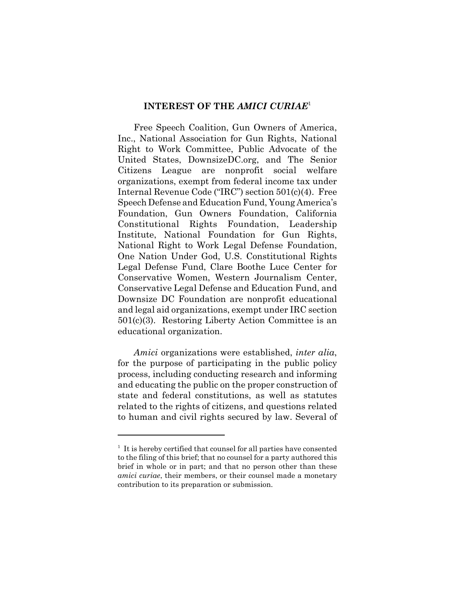#### **INTEREST OF THE** *AMICI CURIAE*<sup>1</sup>

Free Speech Coalition, Gun Owners of America, Inc., National Association for Gun Rights, National Right to Work Committee, Public Advocate of the United States, DownsizeDC.org, and The Senior Citizens League are nonprofit social welfare organizations, exempt from federal income tax under Internal Revenue Code ("IRC") section 501(c)(4). Free Speech Defense and Education Fund, Young America's Foundation, Gun Owners Foundation, California Constitutional Rights Foundation, Leadership Institute, National Foundation for Gun Rights, National Right to Work Legal Defense Foundation, One Nation Under God, U.S. Constitutional Rights Legal Defense Fund, Clare Boothe Luce Center for Conservative Women, Western Journalism Center, Conservative Legal Defense and Education Fund, and Downsize DC Foundation are nonprofit educational and legal aid organizations, exempt under IRC section 501(c)(3). Restoring Liberty Action Committee is an educational organization.

*Amici* organizations were established, *inter alia*, for the purpose of participating in the public policy process, including conducting research and informing and educating the public on the proper construction of state and federal constitutions, as well as statutes related to the rights of citizens, and questions related to human and civil rights secured by law. Several of

<sup>&</sup>lt;sup>1</sup> It is hereby certified that counsel for all parties have consented to the filing of this brief; that no counsel for a party authored this brief in whole or in part; and that no person other than these *amici curiae*, their members, or their counsel made a monetary contribution to its preparation or submission.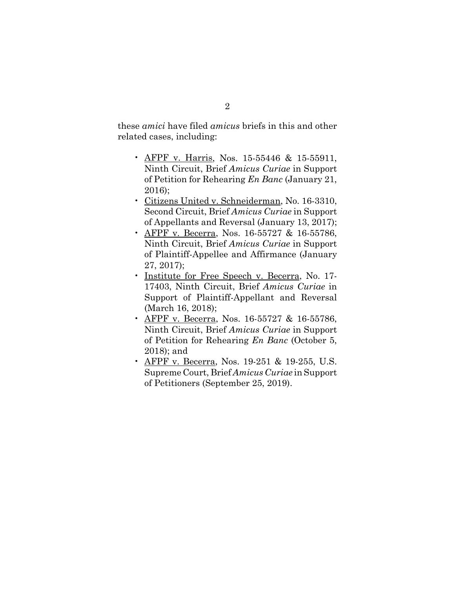these *amici* have filed *amicus* briefs in this and other related cases, including:

- AFPF v. Harris, Nos. 15-55446 & 15-55911, Ninth Circuit, Brief *Amicus Curiae* in Support of Petition for Rehearing *En Banc* (January 21, 2016);
- Citizens United v. Schneiderman, No. 16-3310, Second Circuit, Brief *Amicus Curiae* in Support of Appellants and Reversal (January 13, 2017);
- AFPF v. Becerra, Nos. 16-55727 & 16-55786, Ninth Circuit, Brief *Amicus Curiae* in Support of Plaintiff-Appellee and Affirmance (January 27, 2017);
- Institute for Free Speech v. Becerra, No. 17- 17403, Ninth Circuit, Brief *Amicus Curiae* in Support of Plaintiff-Appellant and Reversal (March 16, 2018);
- AFPF v. Becerra, Nos. 16-55727 & 16-55786, Ninth Circuit, Brief *Amicus Curiae* in Support of Petition for Rehearing *En Banc* (October 5, 2018); and
- AFPF v. Becerra, Nos. 19-251 & 19-255, U.S. Supreme Court, Brief *Amicus Curiae* in Support of Petitioners (September 25, 2019).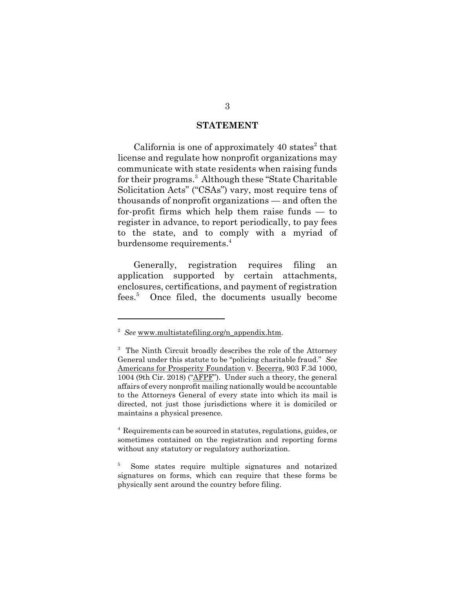#### **STATEMENT**

California is one of approximately  $40$  states<sup>2</sup> that license and regulate how nonprofit organizations may communicate with state residents when raising funds for their programs.<sup>3</sup> Although these "State Charitable Solicitation Acts" ("CSAs") vary, most require tens of thousands of nonprofit organizations — and often the for-profit firms which help them raise funds — to register in advance, to report periodically, to pay fees to the state, and to comply with a myriad of burdensome requirements.<sup>4</sup>

Generally, registration requires filing an application supported by certain attachments, enclosures, certifications, and payment of registration fees.<sup>5</sup> Once filed, the documents usually become

<sup>&</sup>lt;sup>2</sup> See www.multistatefiling.org/n\_appendix.htm.

<sup>&</sup>lt;sup>3</sup> The Ninth Circuit broadly describes the role of the Attorney General under this statute to be "policing charitable fraud." *See* Americans for Prosperity Foundation v. Becerra, 903 F.3d 1000, 1004 (9th Cir. 2018) ("AFPF"). Under such a theory, the general affairs of every nonprofit mailing nationally would be accountable to the Attorneys General of every state into which its mail is directed, not just those jurisdictions where it is domiciled or maintains a physical presence.

<sup>4</sup> Requirements can be sourced in statutes, regulations, guides, or sometimes contained on the registration and reporting forms without any statutory or regulatory authorization.

<sup>5</sup> Some states require multiple signatures and notarized signatures on forms, which can require that these forms be physically sent around the country before filing.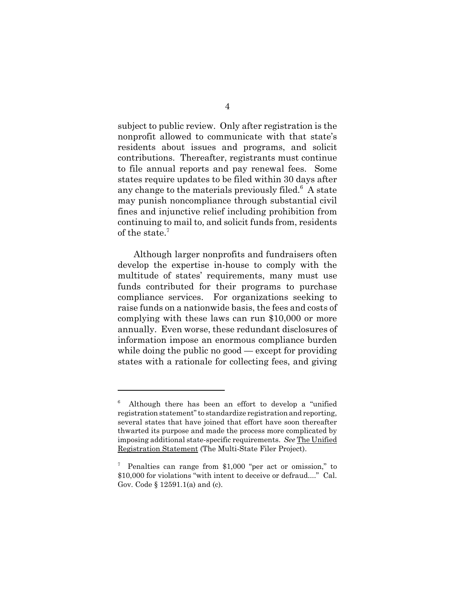subject to public review. Only after registration is the nonprofit allowed to communicate with that state's residents about issues and programs, and solicit contributions. Thereafter, registrants must continue to file annual reports and pay renewal fees. Some states require updates to be filed within 30 days after any change to the materials previously filed. $6$  A state may punish noncompliance through substantial civil fines and injunctive relief including prohibition from continuing to mail to, and solicit funds from, residents of the state.<sup>7</sup>

Although larger nonprofits and fundraisers often develop the expertise in-house to comply with the multitude of states' requirements, many must use funds contributed for their programs to purchase compliance services. For organizations seeking to raise funds on a nationwide basis, the fees and costs of complying with these laws can run \$10,000 or more annually. Even worse, these redundant disclosures of information impose an enormous compliance burden while doing the public no good — except for providing states with a rationale for collecting fees, and giving

<sup>6</sup> Although there has been an effort to develop a "unified registration statement" to standardize registration and reporting, several states that have joined that effort have soon thereafter thwarted its purpose and made the process more complicated by imposing additional state-specific requirements. *See* The Unified Registration Statement (The Multi-State Filer Project).

<sup>7</sup> Penalties can range from \$1,000 "per act or omission," to \$10,000 for violations "with intent to deceive or defraud...." Cal. Gov. Code § 12591.1(a) and (c).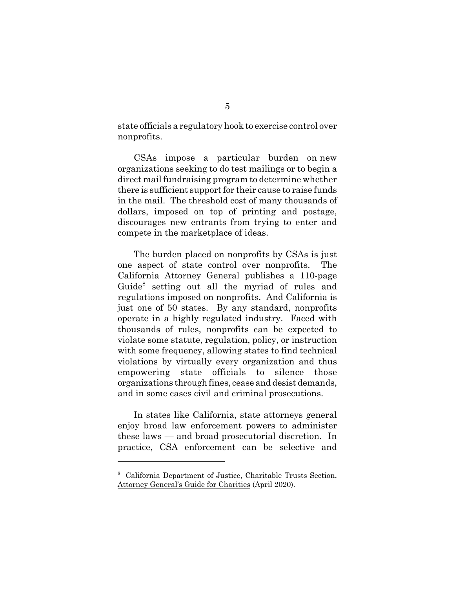state officials a regulatory hook to exercise control over nonprofits.

 CSAs impose a particular burden on new organizations seeking to do test mailings or to begin a direct mail fundraising program to determine whether there is sufficient support for their cause to raise funds in the mail. The threshold cost of many thousands of dollars, imposed on top of printing and postage, discourages new entrants from trying to enter and compete in the marketplace of ideas.

The burden placed on nonprofits by CSAs is just one aspect of state control over nonprofits. The California Attorney General publishes a 110-page Guide<sup>8</sup> setting out all the myriad of rules and regulations imposed on nonprofits. And California is just one of 50 states. By any standard, nonprofits operate in a highly regulated industry. Faced with thousands of rules, nonprofits can be expected to violate some statute, regulation, policy, or instruction with some frequency, allowing states to find technical violations by virtually every organization and thus empowering state officials to silence those organizations through fines, cease and desist demands, and in some cases civil and criminal prosecutions.

In states like California, state attorneys general enjoy broad law enforcement powers to administer these laws — and broad prosecutorial discretion. In practice, CSA enforcement can be selective and

<sup>8</sup> California Department of Justice, Charitable Trusts Section, Attorney General's Guide for Charities (April 2020).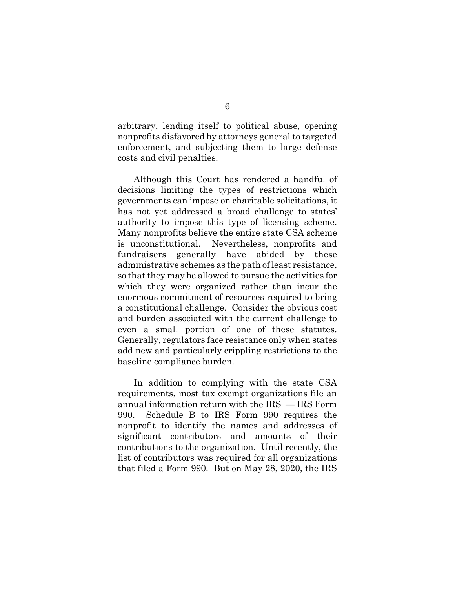arbitrary, lending itself to political abuse, opening nonprofits disfavored by attorneys general to targeted enforcement, and subjecting them to large defense costs and civil penalties.

Although this Court has rendered a handful of decisions limiting the types of restrictions which governments can impose on charitable solicitations, it has not yet addressed a broad challenge to states' authority to impose this type of licensing scheme. Many nonprofits believe the entire state CSA scheme is unconstitutional. Nevertheless, nonprofits and fundraisers generally have abided by these administrative schemes as the path of least resistance, so that they may be allowed to pursue the activities for which they were organized rather than incur the enormous commitment of resources required to bring a constitutional challenge. Consider the obvious cost and burden associated with the current challenge to even a small portion of one of these statutes. Generally, regulators face resistance only when states add new and particularly crippling restrictions to the baseline compliance burden.

In addition to complying with the state CSA requirements, most tax exempt organizations file an annual information return with the IRS — IRS Form 990. Schedule B to IRS Form 990 requires the nonprofit to identify the names and addresses of significant contributors and amounts of their contributions to the organization. Until recently, the list of contributors was required for all organizations that filed a Form 990. But on May 28, 2020, the IRS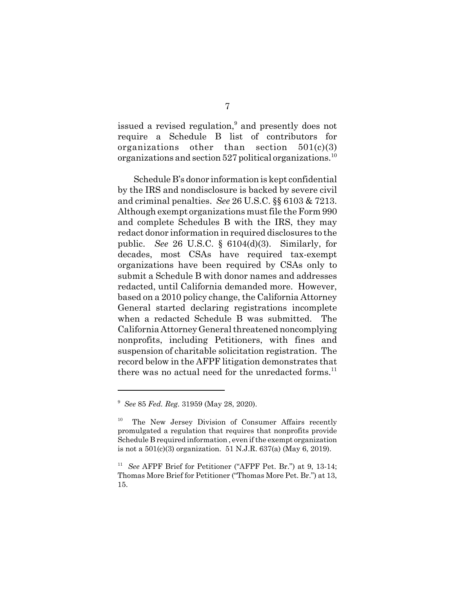issued a revised regulation,<sup>9</sup> and presently does not require a Schedule B list of contributors for organizations other than section  $501(c)(3)$ organizations and section  $527$  political organizations.<sup>10</sup>

Schedule B's donor information is kept confidential by the IRS and nondisclosure is backed by severe civil and criminal penalties. *See* 26 U.S.C. §§ 6103 & 7213. Although exempt organizations must file the Form 990 and complete Schedules B with the IRS, they may redact donor information in required disclosures to the public. *See* 26 U.S.C. § 6104(d)(3). Similarly, for decades, most CSAs have required tax-exempt organizations have been required by CSAs only to submit a Schedule B with donor names and addresses redacted, until California demanded more. However, based on a 2010 policy change, the California Attorney General started declaring registrations incomplete when a redacted Schedule B was submitted. The California Attorney General threatened noncomplying nonprofits, including Petitioners, with fines and suspension of charitable solicitation registration. The record below in the AFPF litigation demonstrates that there was no actual need for the unredacted forms. $^{11}$ 

<sup>9</sup> *See* 85 *Fed. Reg.* 31959 (May 28, 2020).

<sup>&</sup>lt;sup>10</sup> The New Jersey Division of Consumer Affairs recently promulgated a regulation that requires that nonprofits provide Schedule B required information , even if the exempt organization is not a 501(c)(3) organization. 51 N.J.R. 637(a) (May 6, 2019).

<sup>11</sup> *See* AFPF Brief for Petitioner ("AFPF Pet. Br.") at 9, 13-14; Thomas More Brief for Petitioner ("Thomas More Pet. Br.") at 13, 15.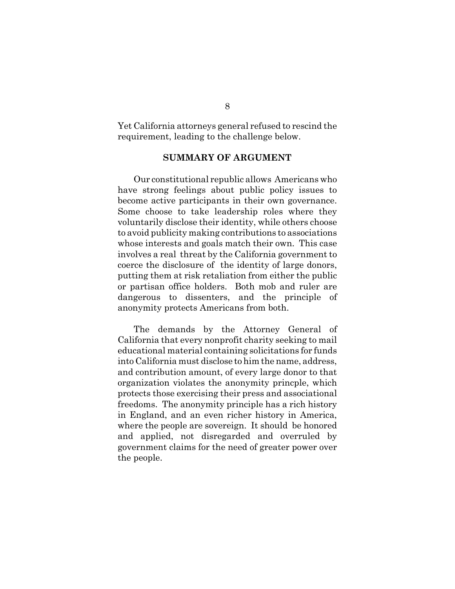Yet California attorneys general refused to rescind the requirement, leading to the challenge below.

#### **SUMMARY OF ARGUMENT**

Our constitutional republic allows Americans who have strong feelings about public policy issues to become active participants in their own governance. Some choose to take leadership roles where they voluntarily disclose their identity, while others choose to avoid publicity making contributions to associations whose interests and goals match their own. This case involves a real threat by the California government to coerce the disclosure of the identity of large donors, putting them at risk retaliation from either the public or partisan office holders. Both mob and ruler are dangerous to dissenters, and the principle of anonymity protects Americans from both.

The demands by the Attorney General of California that every nonprofit charity seeking to mail educational material containing solicitations for funds into California must disclose to him the name, address, and contribution amount, of every large donor to that organization violates the anonymity princple, which protects those exercising their press and associational freedoms. The anonymity principle has a rich history in England, and an even richer history in America, where the people are sovereign. It should be honored and applied, not disregarded and overruled by government claims for the need of greater power over the people.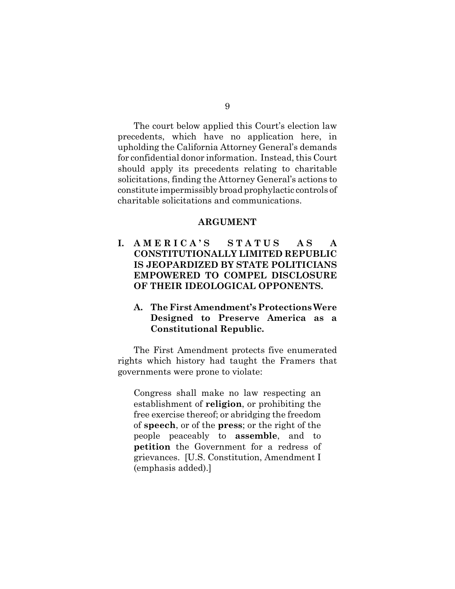The court below applied this Court's election law precedents, which have no application here, in upholding the California Attorney General's demands for confidential donor information. Instead, this Court should apply its precedents relating to charitable solicitations, finding the Attorney General's actions to constitute impermissibly broad prophylactic controls of charitable solicitations and communications.

#### **ARGUMENT**

**I. A M E R I C A ' S S T A T U S A S A CONSTITUTIONALLY LIMITED REPUBLIC IS JEOPARDIZED BY STATE POLITICIANS EMPOWERED TO COMPEL DISCLOSURE OF THEIR IDEOLOGICAL OPPONENTS.** 

## **A. The First Amendment's Protections Were Designed to Preserve America as a Constitutional Republic.**

The First Amendment protects five enumerated rights which history had taught the Framers that governments were prone to violate:

Congress shall make no law respecting an establishment of **religion**, or prohibiting the free exercise thereof; or abridging the freedom of **speech**, or of the **press**; or the right of the people peaceably to **assemble**, and to **petition** the Government for a redress of grievances. [U.S. Constitution, Amendment I (emphasis added).]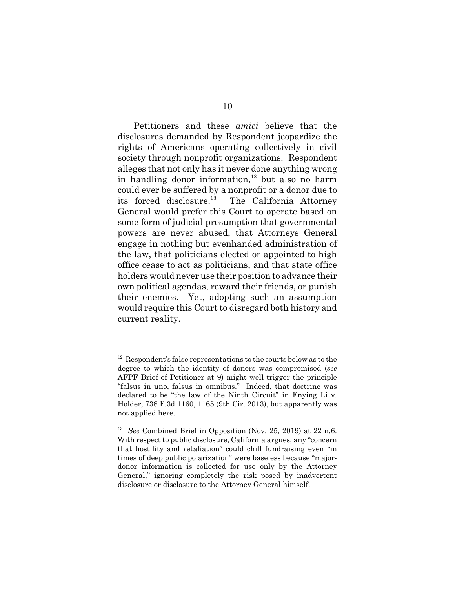Petitioners and these *amici* believe that the disclosures demanded by Respondent jeopardize the rights of Americans operating collectively in civil society through nonprofit organizations. Respondent alleges that not only has it never done anything wrong in handling donor information,<sup>12</sup> but also no harm could ever be suffered by a nonprofit or a donor due to its forced disclosure.<sup>13</sup> The California Attorney General would prefer this Court to operate based on some form of judicial presumption that governmental powers are never abused, that Attorneys General engage in nothing but evenhanded administration of the law, that politicians elected or appointed to high office cease to act as politicians, and that state office holders would never use their position to advance their own political agendas, reward their friends, or punish their enemies. Yet, adopting such an assumption would require this Court to disregard both history and current reality.

 $12$  Respondent's false representations to the courts below as to the degree to which the identity of donors was compromised (*see* AFPF Brief of Petitioner at 9) might well trigger the principle "falsus in uno, falsus in omnibus." Indeed, that doctrine was declared to be "the law of the Ninth Circuit" in Enying Li v. Holder, 738 F.3d 1160, 1165 (9th Cir. 2013), but apparently was not applied here.

<sup>13</sup> *See* Combined Brief in Opposition (Nov. 25, 2019) at 22 n.6. With respect to public disclosure, California argues, any "concern that hostility and retaliation" could chill fundraising even "in times of deep public polarization" were baseless because "majordonor information is collected for use only by the Attorney General," ignoring completely the risk posed by inadvertent disclosure or disclosure to the Attorney General himself.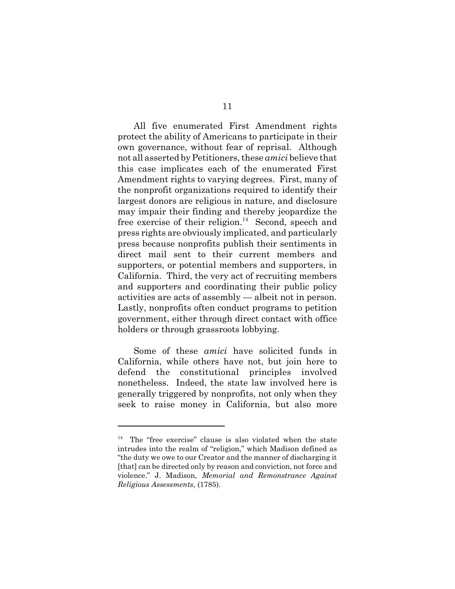All five enumerated First Amendment rights protect the ability of Americans to participate in their own governance, without fear of reprisal. Although not all asserted by Petitioners, these *amici* believe that this case implicates each of the enumerated First Amendment rights to varying degrees. First, many of the nonprofit organizations required to identify their largest donors are religious in nature, and disclosure may impair their finding and thereby jeopardize the free exercise of their religion.<sup>14</sup> Second, speech and press rights are obviously implicated, and particularly press because nonprofits publish their sentiments in direct mail sent to their current members and supporters, or potential members and supporters, in California. Third, the very act of recruiting members and supporters and coordinating their public policy activities are acts of assembly — albeit not in person. Lastly, nonprofits often conduct programs to petition government, either through direct contact with office holders or through grassroots lobbying.

Some of these *amici* have solicited funds in California, while others have not, but join here to defend the constitutional principles involved nonetheless. Indeed, the state law involved here is generally triggered by nonprofits, not only when they seek to raise money in California, but also more

<sup>&</sup>lt;sup>14</sup> The "free exercise" clause is also violated when the state intrudes into the realm of "religion," which Madison defined as "the duty we owe to our Creator and the manner of discharging it [that] can be directed only by reason and conviction, not force and violence." J. Madison, *Memorial and Remonstrance Against Religious Assessments*, (1785).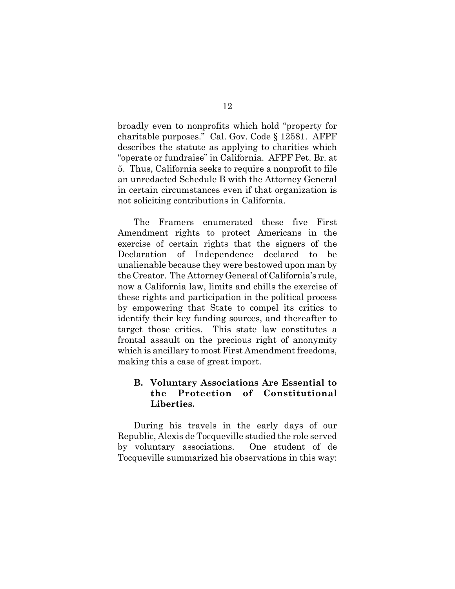broadly even to nonprofits which hold "property for charitable purposes." Cal. Gov. Code § 12581. AFPF describes the statute as applying to charities which "operate or fundraise" in California. AFPF Pet. Br. at 5. Thus, California seeks to require a nonprofit to file an unredacted Schedule B with the Attorney General in certain circumstances even if that organization is not soliciting contributions in California.

The Framers enumerated these five First Amendment rights to protect Americans in the exercise of certain rights that the signers of the Declaration of Independence declared to be unalienable because they were bestowed upon man by the Creator. The Attorney General of California's rule, now a California law, limits and chills the exercise of these rights and participation in the political process by empowering that State to compel its critics to identify their key funding sources, and thereafter to target those critics. This state law constitutes a frontal assault on the precious right of anonymity which is ancillary to most First Amendment freedoms, making this a case of great import.

# **B. Voluntary Associations Are Essential to the Protection of Constitutional Liberties.**

During his travels in the early days of our Republic, Alexis de Tocqueville studied the role served by voluntary associations. One student of de Tocqueville summarized his observations in this way: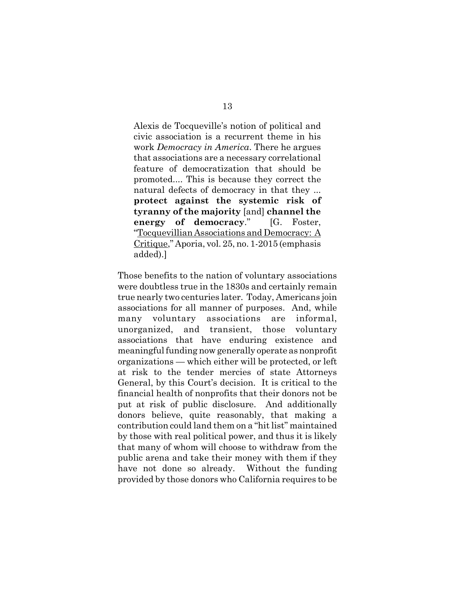Alexis de Tocqueville's notion of political and civic association is a recurrent theme in his work *Democracy in America*. There he argues that associations are a necessary correlational feature of democratization that should be promoted.... This is because they correct the natural defects of democracy in that they ... **protect against the systemic risk of tyranny of the majority** [and] **channel the energy of democracy**." [G. Foster, "Tocquevillian Associations and Democracy: A Critique," Aporia, vol. 25, no. 1-2015 (emphasis added).]

Those benefits to the nation of voluntary associations were doubtless true in the 1830s and certainly remain true nearly two centuries later. Today, Americans join associations for all manner of purposes. And, while many voluntary associations are informal, unorganized, and transient, those voluntary associations that have enduring existence and meaningful funding now generally operate as nonprofit organizations — which either will be protected, or left at risk to the tender mercies of state Attorneys General, by this Court's decision. It is critical to the financial health of nonprofits that their donors not be put at risk of public disclosure. And additionally donors believe, quite reasonably, that making a contribution could land them on a "hit list" maintained by those with real political power, and thus it is likely that many of whom will choose to withdraw from the public arena and take their money with them if they have not done so already. Without the funding provided by those donors who California requires to be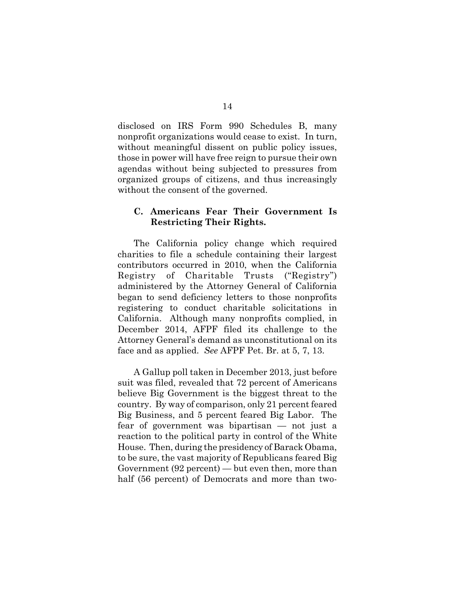disclosed on IRS Form 990 Schedules B, many nonprofit organizations would cease to exist. In turn, without meaningful dissent on public policy issues, those in power will have free reign to pursue their own agendas without being subjected to pressures from organized groups of citizens, and thus increasingly without the consent of the governed.

## **C. Americans Fear Their Government Is Restricting Their Rights.**

The California policy change which required charities to file a schedule containing their largest contributors occurred in 2010, when the California Registry of Charitable Trusts ("Registry") administered by the Attorney General of California began to send deficiency letters to those nonprofits registering to conduct charitable solicitations in California. Although many nonprofits complied, in December 2014, AFPF filed its challenge to the Attorney General's demand as unconstitutional on its face and as applied. *See* AFPF Pet. Br. at 5, 7, 13.

A Gallup poll taken in December 2013, just before suit was filed, revealed that 72 percent of Americans believe Big Government is the biggest threat to the country. By way of comparison, only 21 percent feared Big Business, and 5 percent feared Big Labor. The fear of government was bipartisan — not just a reaction to the political party in control of the White House. Then, during the presidency of Barack Obama, to be sure, the vast majority of Republicans feared Big Government (92 percent) — but even then, more than half (56 percent) of Democrats and more than two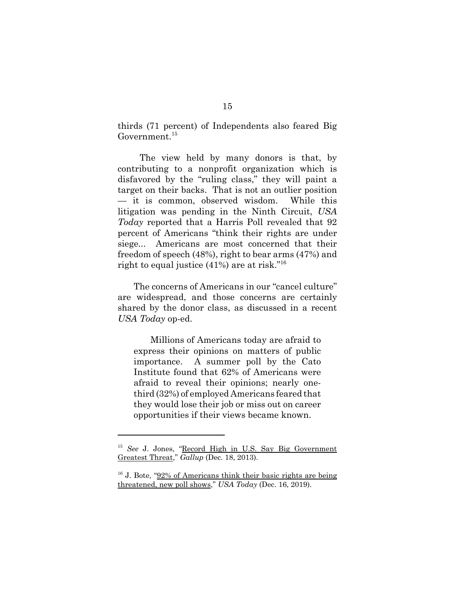thirds (71 percent) of Independents also feared Big Government.<sup>15</sup>

 The view held by many donors is that, by contributing to a nonprofit organization which is disfavored by the "ruling class," they will paint a target on their backs. That is not an outlier position — it is common, observed wisdom. While this litigation was pending in the Ninth Circuit, *USA Today* reported that a Harris Poll revealed that 92 percent of Americans "think their rights are under siege... Americans are most concerned that their freedom of speech (48%), right to bear arms (47%) and right to equal justice (41%) are at risk."16

The concerns of Americans in our "cancel culture" are widespread, and those concerns are certainly shared by the donor class, as discussed in a recent *USA Today* op-ed.

Millions of Americans today are afraid to express their opinions on matters of public importance. A summer poll by the Cato Institute found that 62% of Americans were afraid to reveal their opinions; nearly onethird (32%) of employed Americans feared that they would lose their job or miss out on career opportunities if their views became known.

<sup>15</sup> *See* J. Jones, "Record High in U.S. Say Big Government Greatest Threat," *Gallup* (Dec. 18, 2013).

 $16$  J. Bote, "92% of Americans think their basic rights are being threatened, new poll shows," *USA Today* (Dec. 16, 2019).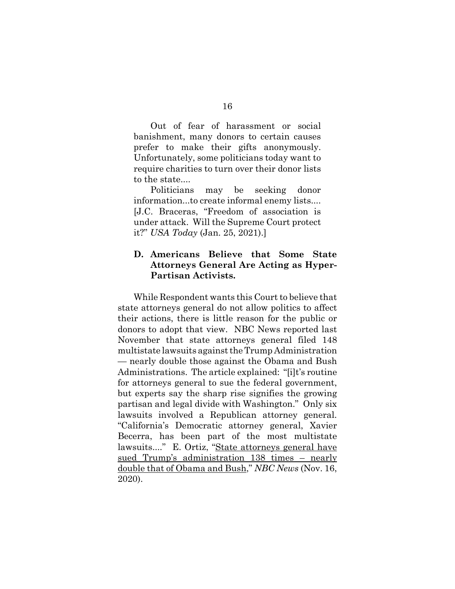Out of fear of harassment or social banishment, many donors to certain causes prefer to make their gifts anonymously. Unfortunately, some politicians today want to require charities to turn over their donor lists to the state....

Politicians may be seeking donor information...to create informal enemy lists.... [J.C. Braceras, "Freedom of association is under attack. Will the Supreme Court protect it?" *USA Today* (Jan. 25, 2021).]

# **D. Americans Believe that Some State Attorneys General Are Acting as Hyper-Partisan Activists.**

While Respondent wants this Court to believe that state attorneys general do not allow politics to affect their actions, there is little reason for the public or donors to adopt that view. NBC News reported last November that state attorneys general filed 148 multistate lawsuits against the Trump Administration — nearly double those against the Obama and Bush Administrations. The article explained: "[i]t's routine for attorneys general to sue the federal government, but experts say the sharp rise signifies the growing partisan and legal divide with Washington." Only six lawsuits involved a Republican attorney general. "California's Democratic attorney general, Xavier Becerra, has been part of the most multistate lawsuits...." E. Ortiz, "State attorneys general have sued Trump's administration 138 times – nearly double that of Obama and Bush," *NBC News* (Nov. 16, 2020).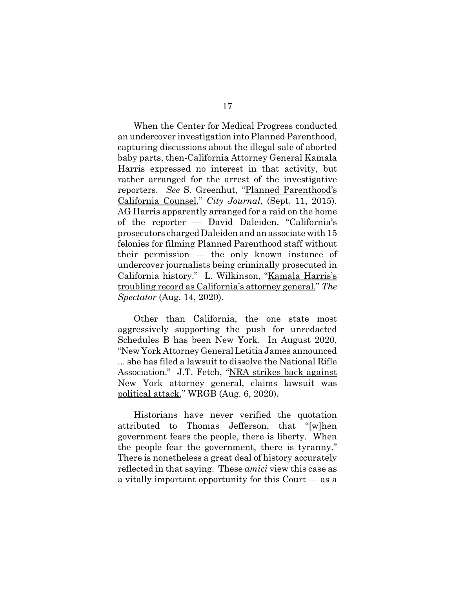When the Center for Medical Progress conducted an undercover investigation into Planned Parenthood, capturing discussions about the illegal sale of aborted baby parts, then-California Attorney General Kamala Harris expressed no interest in that activity, but rather arranged for the arrest of the investigative reporters. *See* S. Greenhut, "Planned Parenthood's California Counsel," *City Journal*, (Sept. 11, 2015). AG Harris apparently arranged for a raid on the home of the reporter — David Daleiden. "California's prosecutors charged Daleiden and an associate with 15 felonies for filming Planned Parenthood staff without their permission — the only known instance of undercover journalists being criminally prosecuted in California history." L. Wilkinson, "Kamala Harris's troubling record as California's attorney general," *The Spectator* (Aug. 14, 2020).

Other than California, the one state most aggressively supporting the push for unredacted Schedules B has been New York. In August 2020, "New York Attorney General Letitia James announced ... she has filed a lawsuit to dissolve the National Rifle Association." J.T. Fetch, "NRA strikes back against New York attorney general, claims lawsuit was political attack," WRGB (Aug. 6, 2020).

Historians have never verified the quotation attributed to Thomas Jefferson, that "[w]hen government fears the people, there is liberty. When the people fear the government, there is tyranny." There is nonetheless a great deal of history accurately reflected in that saying. These *amici* view this case as a vitally important opportunity for this Court — as a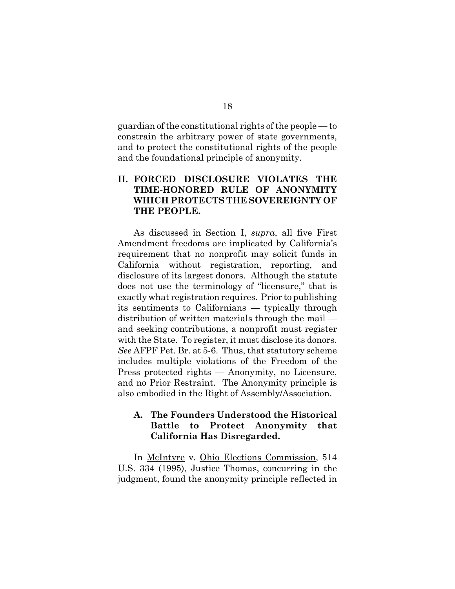guardian of the constitutional rights of the people — to constrain the arbitrary power of state governments, and to protect the constitutional rights of the people and the foundational principle of anonymity.

# **II. FORCED DISCLOSURE VIOLATES THE TIME-HONORED RULE OF ANONYMITY WHICH PROTECTS THE SOVEREIGNTY OF THE PEOPLE.**

As discussed in Section I, *supra*, all five First Amendment freedoms are implicated by California's requirement that no nonprofit may solicit funds in California without registration, reporting, and disclosure of its largest donors. Although the statute does not use the terminology of "licensure," that is exactly what registration requires. Prior to publishing its sentiments to Californians — typically through distribution of written materials through the mail and seeking contributions, a nonprofit must register with the State. To register, it must disclose its donors. *See* AFPF Pet. Br. at 5-6. Thus, that statutory scheme includes multiple violations of the Freedom of the Press protected rights — Anonymity, no Licensure, and no Prior Restraint. The Anonymity principle is also embodied in the Right of Assembly/Association.

## **A. The Founders Understood the Historical Battle to Protect Anonymity that California Has Disregarded.**

In McIntyre v. Ohio Elections Commission, 514 U.S. 334 (1995), Justice Thomas, concurring in the judgment, found the anonymity principle reflected in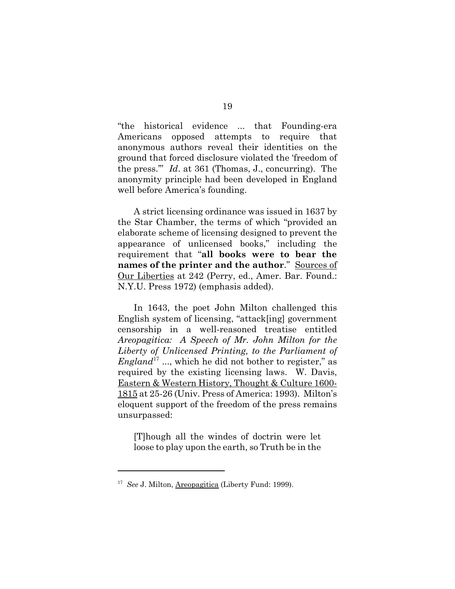"the historical evidence ... that Founding-era Americans opposed attempts to require that anonymous authors reveal their identities on the ground that forced disclosure violated the 'freedom of the press.'" *Id*. at 361 (Thomas, J., concurring). The anonymity principle had been developed in England well before America's founding.

A strict licensing ordinance was issued in 1637 by the Star Chamber, the terms of which "provided an elaborate scheme of licensing designed to prevent the appearance of unlicensed books," including the requirement that "**all books were to bear the names of the printer and the author**." Sources of Our Liberties at 242 (Perry, ed., Amer. Bar. Found.: N.Y.U. Press 1972) (emphasis added).

In 1643, the poet John Milton challenged this English system of licensing, "attack[ing] government censorship in a well-reasoned treatise entitled *Areopagitica: A Speech of Mr. John Milton for the Liberty of Unlicensed Printing, to the Parliament of England*<sup>17</sup> ..., which he did not bother to register," as required by the existing licensing laws. W. Davis, Eastern & Western History, Thought & Culture 1600- 1815 at 25-26 (Univ. Press of America: 1993). Milton's eloquent support of the freedom of the press remains unsurpassed:

[T]hough all the windes of doctrin were let loose to play upon the earth, so Truth be in the

<sup>17</sup> *See* J. Milton, Areopagitica (Liberty Fund: 1999).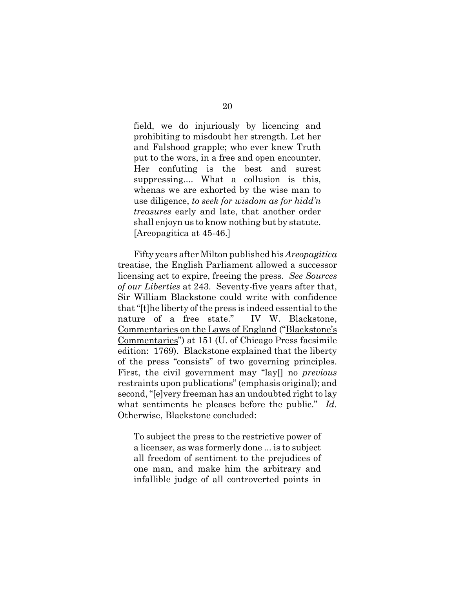field, we do injuriously by licencing and prohibiting to misdoubt her strength. Let her and Falshood grapple; who ever knew Truth put to the wors, in a free and open encounter. Her confuting is the best and surest suppressing.... What a collusion is this, whenas we are exhorted by the wise man to use diligence, *to seek for wisdom as for hidd'n treasures* early and late, that another order shall enjoyn us to know nothing but by statute. [Areopagitica at 45-46.]

Fifty years after Milton published his *Areopagitica* treatise, the English Parliament allowed a successor licensing act to expire, freeing the press. *See Sources of our Liberties* at 243. Seventy-five years after that, Sir William Blackstone could write with confidence that "[t]he liberty of the press is indeed essential to the nature of a free state." IV W. Blackstone, Commentaries on the Laws of England ("Blackstone's Commentaries") at 151 (U. of Chicago Press facsimile edition: 1769). Blackstone explained that the liberty of the press "consists" of two governing principles. First, the civil government may "lay[] no *previous* restraints upon publications" (emphasis original); and second, "[e]very freeman has an undoubted right to lay what sentiments he pleases before the public." *Id*. Otherwise, Blackstone concluded:

To subject the press to the restrictive power of a licenser, as was formerly done ... is to subject all freedom of sentiment to the prejudices of one man, and make him the arbitrary and infallible judge of all controverted points in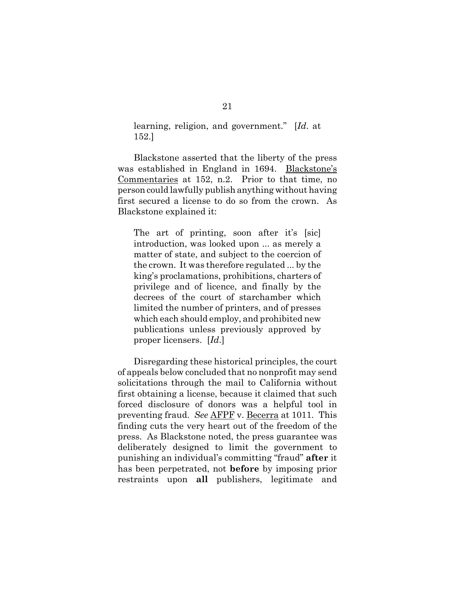learning, religion, and government." [*Id*. at 152.]

Blackstone asserted that the liberty of the press was established in England in 1694. Blackstone's Commentaries at 152, n.2. Prior to that time, no person could lawfully publish anything without having first secured a license to do so from the crown. As Blackstone explained it:

The art of printing, soon after it's [sic] introduction, was looked upon ... as merely a matter of state, and subject to the coercion of the crown. It was therefore regulated ... by the king's proclamations, prohibitions, charters of privilege and of licence, and finally by the decrees of the court of starchamber which limited the number of printers, and of presses which each should employ, and prohibited new publications unless previously approved by proper licensers. [*Id*.]

Disregarding these historical principles, the court of appeals below concluded that no nonprofit may send solicitations through the mail to California without first obtaining a license, because it claimed that such forced disclosure of donors was a helpful tool in preventing fraud. *See* AFPF v. Becerra at 1011. This finding cuts the very heart out of the freedom of the press. As Blackstone noted, the press guarantee was deliberately designed to limit the government to punishing an individual's committing "fraud" **after** it has been perpetrated, not **before** by imposing prior restraints upon **all** publishers, legitimate and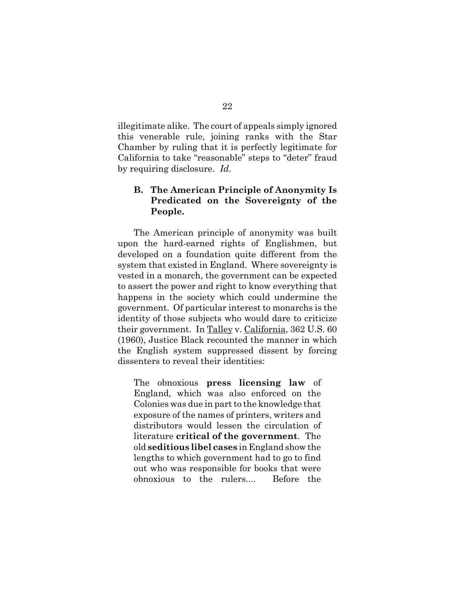illegitimate alike. The court of appeals simply ignored this venerable rule, joining ranks with the Star Chamber by ruling that it is perfectly legitimate for California to take "reasonable" steps to "deter" fraud by requiring disclosure. *Id*.

## **B. The American Principle of Anonymity Is Predicated on the Sovereignty of the People.**

The American principle of anonymity was built upon the hard-earned rights of Englishmen, but developed on a foundation quite different from the system that existed in England. Where sovereignty is vested in a monarch, the government can be expected to assert the power and right to know everything that happens in the society which could undermine the government. Of particular interest to monarchs is the identity of those subjects who would dare to criticize their government. In Talley v. California, 362 U.S. 60 (1960), Justice Black recounted the manner in which the English system suppressed dissent by forcing dissenters to reveal their identities:

The obnoxious **press licensing law** of England, which was also enforced on the Colonies was due in part to the knowledge that exposure of the names of printers, writers and distributors would lessen the circulation of literature **critical of the government**. The old **seditious libel cases** in England show the lengths to which government had to go to find out who was responsible for books that were obnoxious to the rulers.... Before the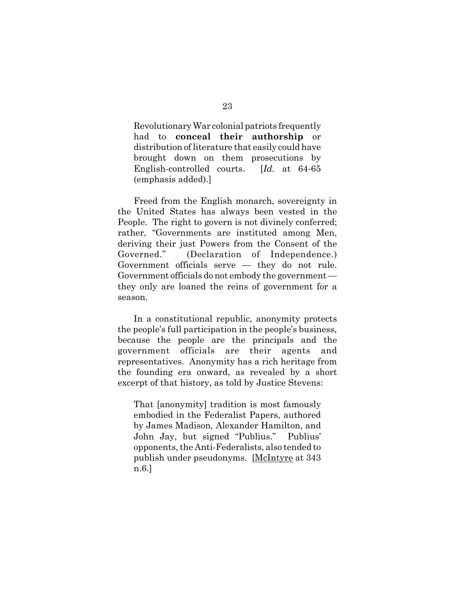Revolutionary War colonial patriots frequently had to **conceal their authorship** or distribution of literature that easily could have brought down on them prosecutions by English-controlled courts. [*Id.* at 64-65 (emphasis added).]

Freed from the English monarch, sovereignty in the United States has always been vested in the People. The right to govern is not divinely conferred; rather, "Governments are instituted among Men, deriving their just Powers from the Consent of the Governed." (Declaration of Independence.) Government officials serve — they do not rule. Government officials do not embody the government they only are loaned the reins of government for a season.

In a constitutional republic, anonymity protects the people's full participation in the people's business, because the people are the principals and the government officials are their agents and representatives. Anonymity has a rich heritage from the founding era onward, as revealed by a short excerpt of that history, as told by Justice Stevens:

That [anonymity] tradition is most famously embodied in the Federalist Papers, authored by James Madison, Alexander Hamilton, and John Jay, but signed "Publius." Publius' opponents, the Anti-Federalists, also tended to publish under pseudonyms. [McIntyre at 343] n.6.]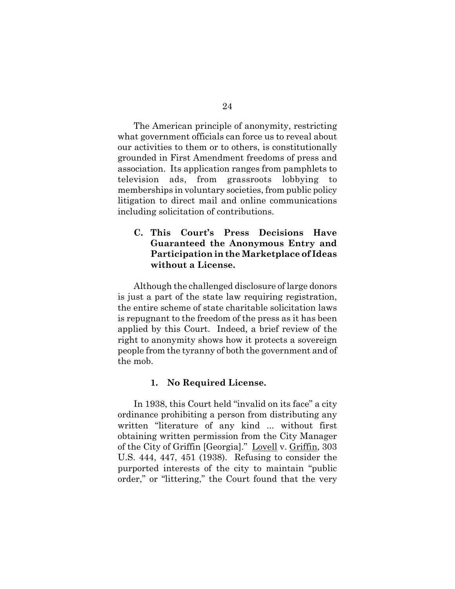The American principle of anonymity, restricting what government officials can force us to reveal about our activities to them or to others, is constitutionally grounded in First Amendment freedoms of press and association. Its application ranges from pamphlets to television ads, from grassroots lobbying to memberships in voluntary societies, from public policy litigation to direct mail and online communications including solicitation of contributions.

## **C. This Court's Press Decisions Have Guaranteed the Anonymous Entry and Participation in the Marketplace of Ideas without a License.**

Although the challenged disclosure of large donors is just a part of the state law requiring registration, the entire scheme of state charitable solicitation laws is repugnant to the freedom of the press as it has been applied by this Court. Indeed, a brief review of the right to anonymity shows how it protects a sovereign people from the tyranny of both the government and of the mob.

#### **1. No Required License.**

In 1938, this Court held "invalid on its face" a city ordinance prohibiting a person from distributing any written "literature of any kind ... without first obtaining written permission from the City Manager of the City of Griffin [Georgia]." Lovell v. Griffin, 303 U.S. 444, 447, 451 (1938). Refusing to consider the purported interests of the city to maintain "public order," or "littering," the Court found that the very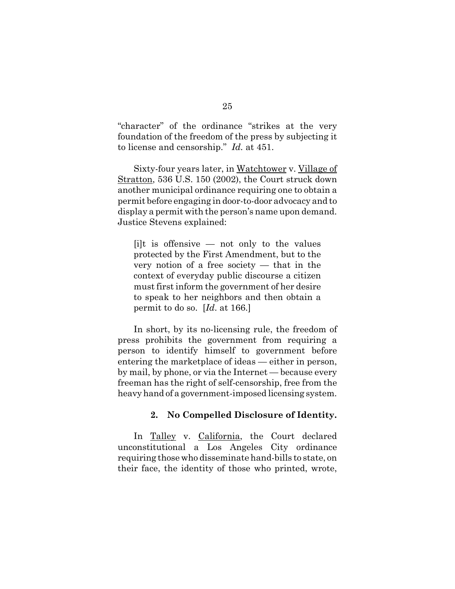"character" of the ordinance "strikes at the very foundation of the freedom of the press by subjecting it to license and censorship." *Id.* at 451.

Sixty-four years later, in Watchtower v. Village of Stratton, 536 U.S. 150 (2002), the Court struck down another municipal ordinance requiring one to obtain a permit before engaging in door-to-door advocacy and to display a permit with the person's name upon demand. Justice Stevens explained:

 $[i]$ t is offensive — not only to the values protected by the First Amendment, but to the very notion of a free society  $-$  that in the context of everyday public discourse a citizen must first inform the government of her desire to speak to her neighbors and then obtain a permit to do so. [*Id*. at 166.]

In short, by its no-licensing rule, the freedom of press prohibits the government from requiring a person to identify himself to government before entering the marketplace of ideas — either in person, by mail, by phone, or via the Internet — because every freeman has the right of self-censorship, free from the heavy hand of a government-imposed licensing system.

#### **2. No Compelled Disclosure of Identity.**

In Talley v. California, the Court declared unconstitutional a Los Angeles City ordinance requiring those who disseminate hand-bills to state, on their face, the identity of those who printed, wrote,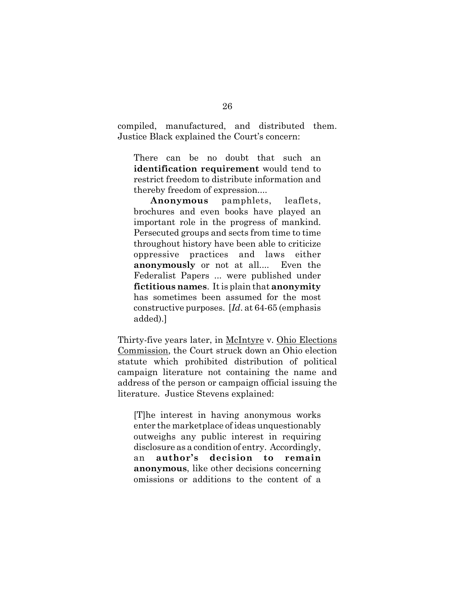compiled, manufactured, and distributed them. Justice Black explained the Court's concern:

There can be no doubt that such an **identification requirement** would tend to restrict freedom to distribute information and thereby freedom of expression....

**Anonymous** pamphlets, leaflets, brochures and even books have played an important role in the progress of mankind. Persecuted groups and sects from time to time throughout history have been able to criticize oppressive practices and laws either **anonymously** or not at all.... Even the Federalist Papers ... were published under **fictitious names**. It is plain that **anonymity** has sometimes been assumed for the most constructive purposes. [*Id*. at 64-65 (emphasis added).]

Thirty-five years later, in McIntyre v. Ohio Elections Commission, the Court struck down an Ohio election statute which prohibited distribution of political campaign literature not containing the name and address of the person or campaign official issuing the literature. Justice Stevens explained:

[T]he interest in having anonymous works enter the marketplace of ideas unquestionably outweighs any public interest in requiring disclosure as a condition of entry. Accordingly, an **author's decision to remain anonymous**, like other decisions concerning omissions or additions to the content of a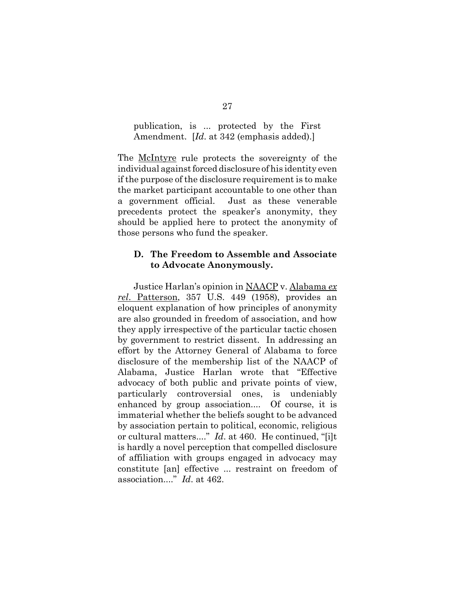### publication, is ... protected by the First Amendment. [*Id*. at 342 (emphasis added).]

The McIntyre rule protects the sovereignty of the individual against forced disclosure of his identity even if the purpose of the disclosure requirement is to make the market participant accountable to one other than a government official. Just as these venerable precedents protect the speaker's anonymity, they should be applied here to protect the anonymity of those persons who fund the speaker.

### **D. The Freedom to Assemble and Associate to Advocate Anonymously.**

Justice Harlan's opinion in NAACP v. Alabama *ex rel*. Patterson, 357 U.S. 449 (1958), provides an eloquent explanation of how principles of anonymity are also grounded in freedom of association, and how they apply irrespective of the particular tactic chosen by government to restrict dissent. In addressing an effort by the Attorney General of Alabama to force disclosure of the membership list of the NAACP of Alabama, Justice Harlan wrote that "Effective advocacy of both public and private points of view, particularly controversial ones, is undeniably enhanced by group association.... Of course, it is immaterial whether the beliefs sought to be advanced by association pertain to political, economic, religious or cultural matters...." *Id*. at 460. He continued, "[i]t is hardly a novel perception that compelled disclosure of affiliation with groups engaged in advocacy may constitute [an] effective ... restraint on freedom of association...." *Id*. at 462.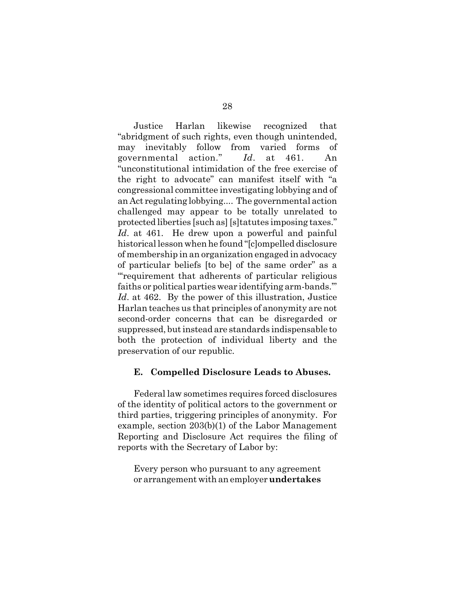Justice Harlan likewise recognized that "abridgment of such rights, even though unintended, may inevitably follow from varied forms of governmental action." *Id*. at 461. An "unconstitutional intimidation of the free exercise of the right to advocate" can manifest itself with "a congressional committee investigating lobbying and of an Act regulating lobbying.... The governmental action challenged may appear to be totally unrelated to protected liberties [such as] [s]tatutes imposing taxes." *Id*. at 461. He drew upon a powerful and painful historical lesson when he found "[c]ompelled disclosure of membership in an organization engaged in advocacy of particular beliefs [to be] of the same order" as a "'requirement that adherents of particular religious faiths or political parties wear identifying arm-bands.'" *Id*. at 462. By the power of this illustration, Justice Harlan teaches us that principles of anonymity are not second-order concerns that can be disregarded or suppressed, but instead are standards indispensable to both the protection of individual liberty and the preservation of our republic.

#### **E. Compelled Disclosure Leads to Abuses.**

Federal law sometimes requires forced disclosures of the identity of political actors to the government or third parties, triggering principles of anonymity. For example, section 203(b)(1) of the Labor Management Reporting and Disclosure Act requires the filing of reports with the Secretary of Labor by:

Every person who pursuant to any agreement or arrangement with an employer **undertakes**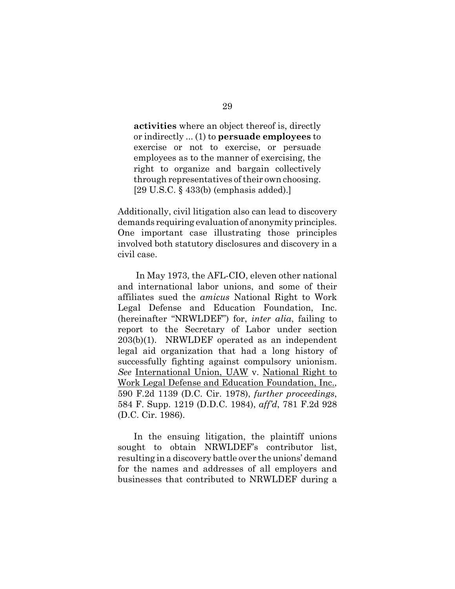**activities** where an object thereof is, directly or indirectly ... (1) to **persuade employees** to exercise or not to exercise, or persuade employees as to the manner of exercising, the right to organize and bargain collectively through representatives of their own choosing. [29 U.S.C. § 433(b) (emphasis added).]

Additionally, civil litigation also can lead to discovery demands requiring evaluation of anonymity principles. One important case illustrating those principles involved both statutory disclosures and discovery in a civil case.

 In May 1973, the AFL-CIO, eleven other national and international labor unions, and some of their affiliates sued the *amicus* National Right to Work Legal Defense and Education Foundation, Inc. (hereinafter "NRWLDEF") for, *inter alia*, failing to report to the Secretary of Labor under section 203(b)(1). NRWLDEF operated as an independent legal aid organization that had a long history of successfully fighting against compulsory unionism. *See* International Union, UAW v. National Right to Work Legal Defense and Education Foundation, Inc., 590 F.2d 1139 (D.C. Cir. 1978), *further proceedings*, 584 F. Supp. 1219 (D.D.C. 1984), *aff'd*, 781 F.2d 928 (D.C. Cir. 1986).

In the ensuing litigation, the plaintiff unions sought to obtain NRWLDEF's contributor list, resulting in a discovery battle over the unions' demand for the names and addresses of all employers and businesses that contributed to NRWLDEF during a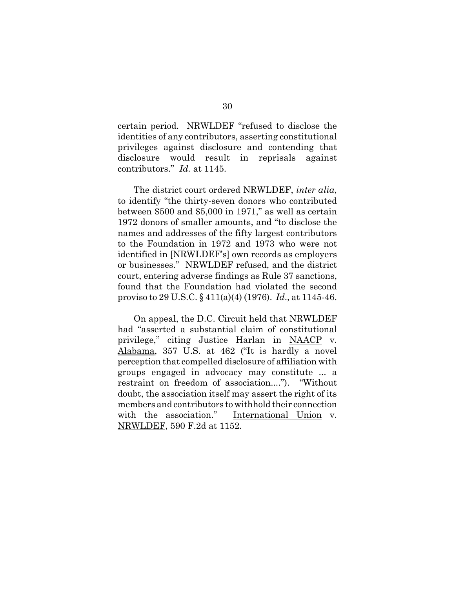certain period. NRWLDEF "refused to disclose the identities of any contributors, asserting constitutional privileges against disclosure and contending that disclosure would result in reprisals against contributors." *Id.* at 1145.

The district court ordered NRWLDEF, *inter alia*, to identify "the thirty-seven donors who contributed between \$500 and \$5,000 in 1971," as well as certain 1972 donors of smaller amounts, and "to disclose the names and addresses of the fifty largest contributors to the Foundation in 1972 and 1973 who were not identified in [NRWLDEF's] own records as employers or businesses." NRWLDEF refused, and the district court, entering adverse findings as Rule 37 sanctions, found that the Foundation had violated the second proviso to 29 U.S.C. § 411(a)(4) (1976). *Id*., at 1145-46.

On appeal, the D.C. Circuit held that NRWLDEF had "asserted a substantial claim of constitutional privilege," citing Justice Harlan in NAACP v. Alabama, 357 U.S. at 462 ("It is hardly a novel perception that compelled disclosure of affiliation with groups engaged in advocacy may constitute ... a restraint on freedom of association...."). "Without doubt, the association itself may assert the right of its members and contributors to withhold their connection with the association." International Union v. NRWLDEF, 590 F.2d at 1152.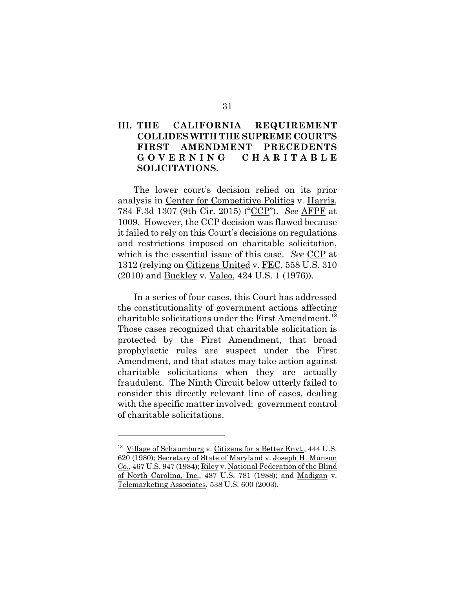# **III. THE CALIFORNIA REQUIREMENT COLLIDES WITH THE SUPREME COURT'S FIRST AMENDMENT PRECEDENTS GOVERNING CHARITABLE SOLICITATIONS.**

The lower court's decision relied on its prior analysis in Center for Competitive Politics v. Harris, 784 F.3d 1307 (9th Cir. 2015) ("CCP"). *See* AFPF at 1009. However, the CCP decision was flawed because it failed to rely on this Court's decisions on regulations and restrictions imposed on charitable solicitation, which is the essential issue of this case. *See* CCP at 1312 (relying on Citizens United v. FEC, 558 U.S. 310 (2010) and Buckley v. Valeo, 424 U.S. 1 (1976)).

In a series of four cases, this Court has addressed the constitutionality of government actions affecting charitable solicitations under the First Amendment.<sup>18</sup> Those cases recognized that charitable solicitation is protected by the First Amendment, that broad prophylactic rules are suspect under the First Amendment, and that states may take action against charitable solicitations when they are actually fraudulent. The Ninth Circuit below utterly failed to consider this directly relevant line of cases, dealing with the specific matter involved: government control of charitable solicitations.

<sup>&</sup>lt;sup>18</sup> Village of Schaumburg v. Citizens for a Better Envt., 444 U.S. 620 (1980); Secretary of State of Maryland v. Joseph H. Munson Co., 467 U.S. 947 (1984); Riley v. National Federation of the Blind of North Carolina, Inc., 487 U.S. 781 (1988); and Madigan v. Telemarketing Associates, 538 U.S. 600 (2003).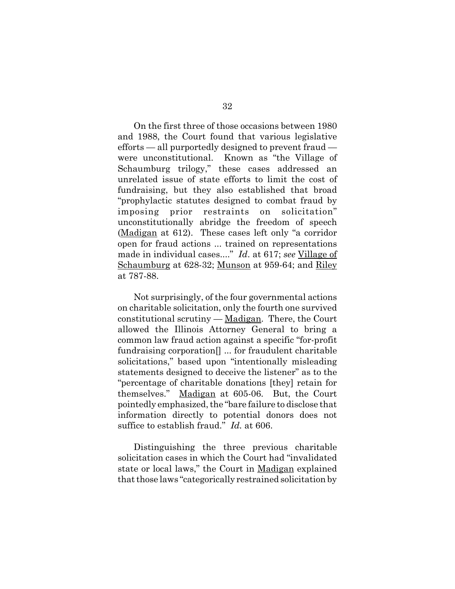On the first three of those occasions between 1980 and 1988, the Court found that various legislative efforts — all purportedly designed to prevent fraud were unconstitutional. Known as "the Village of Schaumburg trilogy," these cases addressed an unrelated issue of state efforts to limit the cost of fundraising, but they also established that broad "prophylactic statutes designed to combat fraud by imposing prior restraints on solicitation" unconstitutionally abridge the freedom of speech (Madigan at 612). These cases left only "a corridor open for fraud actions ... trained on representations made in individual cases...." *Id*. at 617; *see* Village of Schaumburg at 628-32; Munson at 959-64; and Riley at 787-88.

Not surprisingly, of the four governmental actions on charitable solicitation, only the fourth one survived constitutional scrutiny — Madigan. There, the Court allowed the Illinois Attorney General to bring a common law fraud action against a specific "for-profit fundraising corporation[] ... for fraudulent charitable solicitations," based upon "intentionally misleading statements designed to deceive the listener" as to the "percentage of charitable donations [they] retain for themselves." Madigan at 605-06. But, the Court pointedly emphasized, the "bare failure to disclose that information directly to potential donors does not suffice to establish fraud." *Id.* at 606.

Distinguishing the three previous charitable solicitation cases in which the Court had "invalidated state or local laws," the Court in Madigan explained that those laws "categorically restrained solicitation by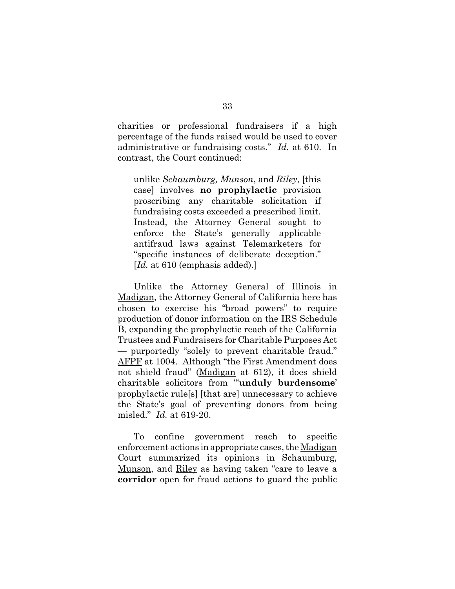charities or professional fundraisers if a high percentage of the funds raised would be used to cover administrative or fundraising costs." *Id.* at 610. In contrast, the Court continued:

unlike *Schaumburg, Munson*, and *Riley*, [this case] involves **no prophylactic** provision proscribing any charitable solicitation if fundraising costs exceeded a prescribed limit. Instead, the Attorney General sought to enforce the State's generally applicable antifraud laws against Telemarketers for "specific instances of deliberate deception." [*Id.* at 610 (emphasis added).]

Unlike the Attorney General of Illinois in Madigan, the Attorney General of California here has chosen to exercise his "broad powers" to require production of donor information on the IRS Schedule B, expanding the prophylactic reach of the California Trustees and Fundraisers for Charitable Purposes Act — purportedly "solely to prevent charitable fraud." AFPF at 1004. Although "the First Amendment does not shield fraud" (Madigan at 612), it does shield charitable solicitors from "'**unduly burdensome**' prophylactic rule[s] [that are] unnecessary to achieve the State's goal of preventing donors from being misled." *Id.* at 619-20.

To confine government reach to specific enforcement actions in appropriate cases, the Madigan Court summarized its opinions in Schaumburg, Munson, and Riley as having taken "care to leave a **corridor** open for fraud actions to guard the public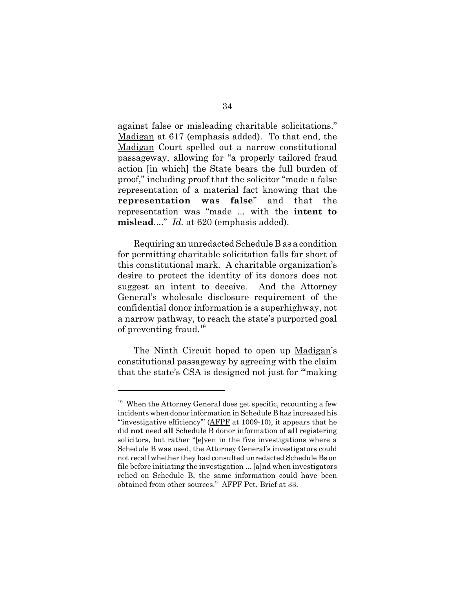against false or misleading charitable solicitations." Madigan at 617 (emphasis added). To that end, the Madigan Court spelled out a narrow constitutional passageway, allowing for "a properly tailored fraud action [in which] the State bears the full burden of proof," including proof that the solicitor "made a false representation of a material fact knowing that the **representation was false**" and that the representation was "made ... with the **intent to mislead**...." *Id.* at 620 (emphasis added).

Requiring an unredacted Schedule B as a condition for permitting charitable solicitation falls far short of this constitutional mark. A charitable organization's desire to protect the identity of its donors does not suggest an intent to deceive. And the Attorney General's wholesale disclosure requirement of the confidential donor information is a superhighway, not a narrow pathway, to reach the state's purported goal of preventing fraud.19

The Ninth Circuit hoped to open up Madigan's constitutional passageway by agreeing with the claim that the state's CSA is designed not just for "'making

 $19$  When the Attorney General does get specific, recounting a few incidents when donor information in Schedule B has increased his "'investigative efficiency'" (AFPF at 1009-10), it appears that he did **not** need **all** Schedule B donor information of **all** registering solicitors, but rather "[e]ven in the five investigations where a Schedule B was used, the Attorney General's investigators could not recall whether they had consulted unredacted Schedule Bs on file before initiating the investigation ... [a]nd when investigators relied on Schedule B, the same information could have been obtained from other sources." AFPF Pet. Brief at 33.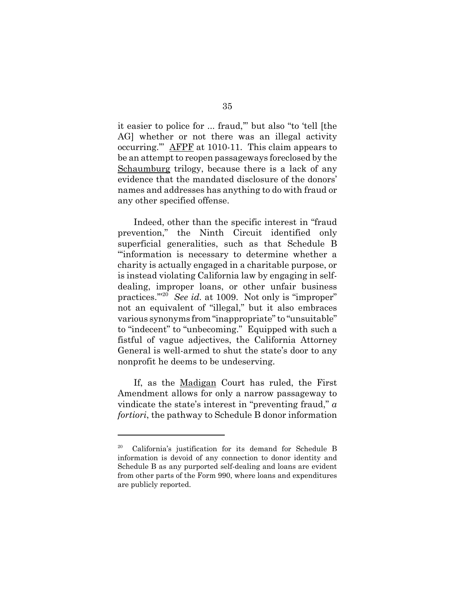it easier to police for ... fraud,'" but also "to 'tell [the AG] whether or not there was an illegal activity occurring.'" AFPF at 1010-11. This claim appears to be an attempt to reopen passageways foreclosed by the Schaumburg trilogy, because there is a lack of any evidence that the mandated disclosure of the donors' names and addresses has anything to do with fraud or any other specified offense.

Indeed, other than the specific interest in "fraud prevention," the Ninth Circuit identified only superficial generalities, such as that Schedule B "'information is necessary to determine whether a charity is actually engaged in a charitable purpose, or is instead violating California law by engaging in selfdealing, improper loans, or other unfair business practices."<sup>20</sup> *See id.* at 1009. Not only is "improper" not an equivalent of "illegal," but it also embraces various synonyms from "inappropriate" to "unsuitable" to "indecent" to "unbecoming." Equipped with such a fistful of vague adjectives, the California Attorney General is well-armed to shut the state's door to any nonprofit he deems to be undeserving.

If, as the Madigan Court has ruled, the First Amendment allows for only a narrow passageway to vindicate the state's interest in "preventing fraud," *a fortiori*, the pathway to Schedule B donor information

<sup>20</sup> California's justification for its demand for Schedule B information is devoid of any connection to donor identity and Schedule B as any purported self-dealing and loans are evident from other parts of the Form 990, where loans and expenditures are publicly reported.